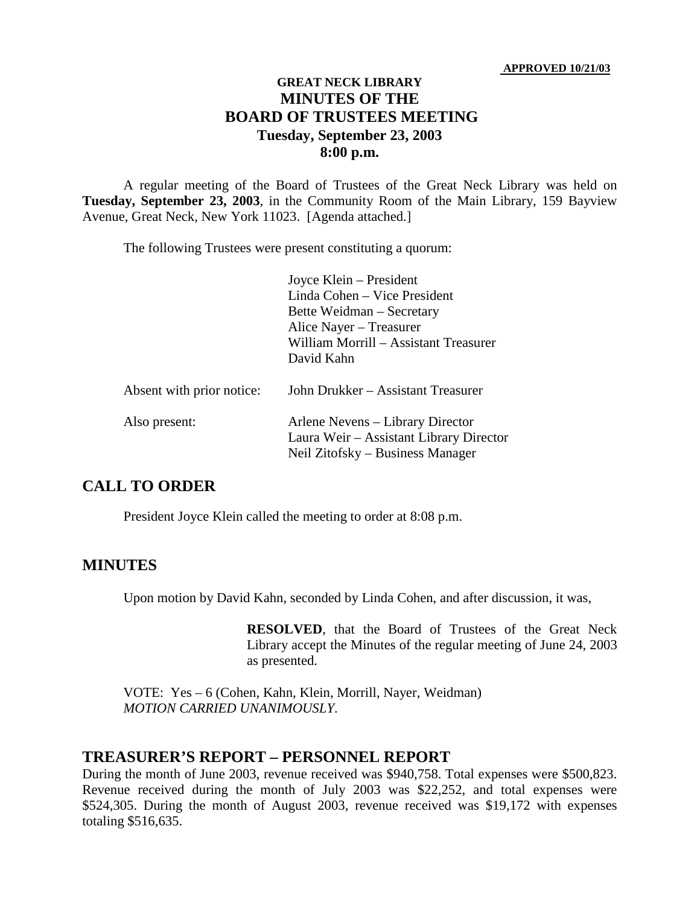### **GREAT NECK LIBRARY MINUTES OF THE BOARD OF TRUSTEES MEETING Tuesday, September 23, 2003 8:00 p.m.**

A regular meeting of the Board of Trustees of the Great Neck Library was held on **Tuesday, September 23, 2003**, in the Community Room of the Main Library, 159 Bayview Avenue, Great Neck, New York 11023. [Agenda attached.]

The following Trustees were present constituting a quorum:

|                           | Joyce Klein – President<br>Linda Cohen – Vice President<br>Bette Weidman – Secretary<br>Alice Nayer - Treasurer<br>William Morrill - Assistant Treasurer<br>David Kahn |
|---------------------------|------------------------------------------------------------------------------------------------------------------------------------------------------------------------|
| Absent with prior notice: | John Drukker – Assistant Treasurer                                                                                                                                     |
| Also present:             | Arlene Nevens – Library Director<br>Laura Weir - Assistant Library Director<br>Neil Zitofsky – Business Manager                                                        |

### **CALL TO ORDER**

President Joyce Klein called the meeting to order at 8:08 p.m.

#### **MINUTES**

Upon motion by David Kahn, seconded by Linda Cohen, and after discussion, it was,

**RESOLVED**, that the Board of Trustees of the Great Neck Library accept the Minutes of the regular meeting of June 24, 2003 as presented.

VOTE:Yes – 6 (Cohen, Kahn, Klein, Morrill, Nayer, Weidman) *MOTION CARRIED UNANIMOUSLY.*

#### **TREASURER'S REPORT – PERSONNEL REPORT**

During the month of June 2003, revenue received was \$940,758. Total expenses were \$500,823. Revenue received during the month of July 2003 was \$22,252, and total expenses were \$524,305. During the month of August 2003, revenue received was \$19,172 with expenses totaling \$516,635.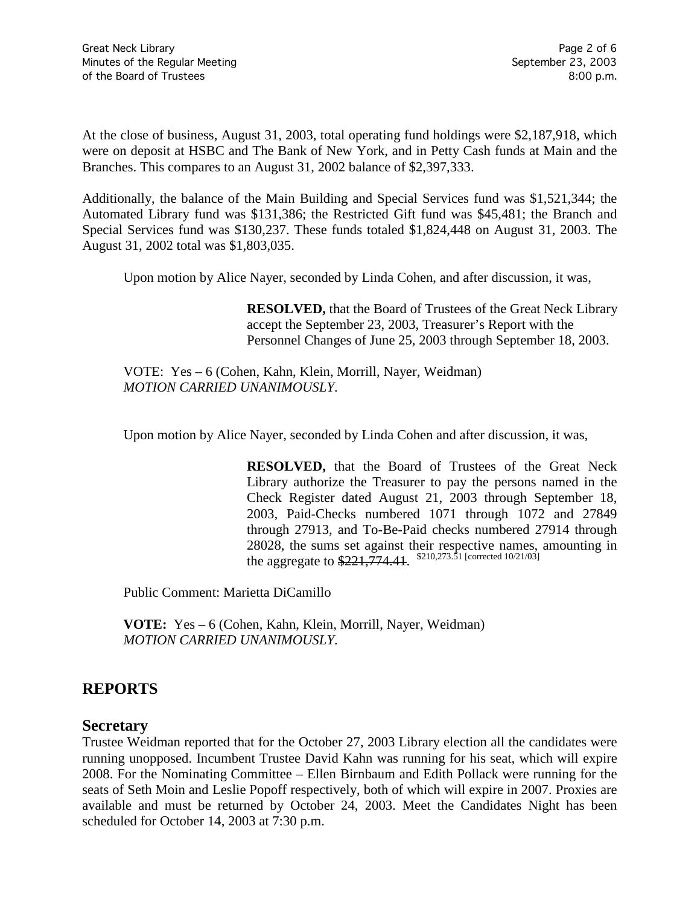At the close of business, August 31, 2003, total operating fund holdings were \$2,187,918, which were on deposit at HSBC and The Bank of New York, and in Petty Cash funds at Main and the Branches. This compares to an August 31, 2002 balance of \$2,397,333.

Additionally, the balance of the Main Building and Special Services fund was \$1,521,344; the Automated Library fund was \$131,386; the Restricted Gift fund was \$45,481; the Branch and Special Services fund was \$130,237. These funds totaled \$1,824,448 on August 31, 2003. The August 31, 2002 total was \$1,803,035.

Upon motion by Alice Nayer, seconded by Linda Cohen, and after discussion, it was,

**RESOLVED,** that the Board of Trustees of the Great Neck Library accept the September 23, 2003, Treasurer's Report with the Personnel Changes of June 25, 2003 through September 18, 2003.

VOTE:Yes – 6 (Cohen, Kahn, Klein, Morrill, Nayer, Weidman) *MOTION CARRIED UNANIMOUSLY.*

Upon motion by Alice Nayer, seconded by Linda Cohen and after discussion, it was,

**RESOLVED,** that the Board of Trustees of the Great Neck Library authorize the Treasurer to pay the persons named in the Check Register dated August 21, 2003 through September 18, 2003, Paid-Checks numbered 1071 through 1072 and 27849 through 27913, and To-Be-Paid checks numbered 27914 through 28028, the sums set against their respective names, amounting in the aggregate to  $$221,774.41$ .  $$^{210,273.51}$  [corrected 10/21/03]

Public Comment: Marietta DiCamillo

**VOTE:** Yes – 6 (Cohen, Kahn, Klein, Morrill, Nayer, Weidman) *MOTION CARRIED UNANIMOUSLY.*

## **REPORTS**

#### **Secretary**

Trustee Weidman reported that for the October 27, 2003 Library election all the candidates were running unopposed. Incumbent Trustee David Kahn was running for his seat, which will expire 2008. For the Nominating Committee – Ellen Birnbaum and Edith Pollack were running for the seats of Seth Moin and Leslie Popoff respectively, both of which will expire in 2007. Proxies are available and must be returned by October 24, 2003. Meet the Candidates Night has been scheduled for October 14, 2003 at 7:30 p.m.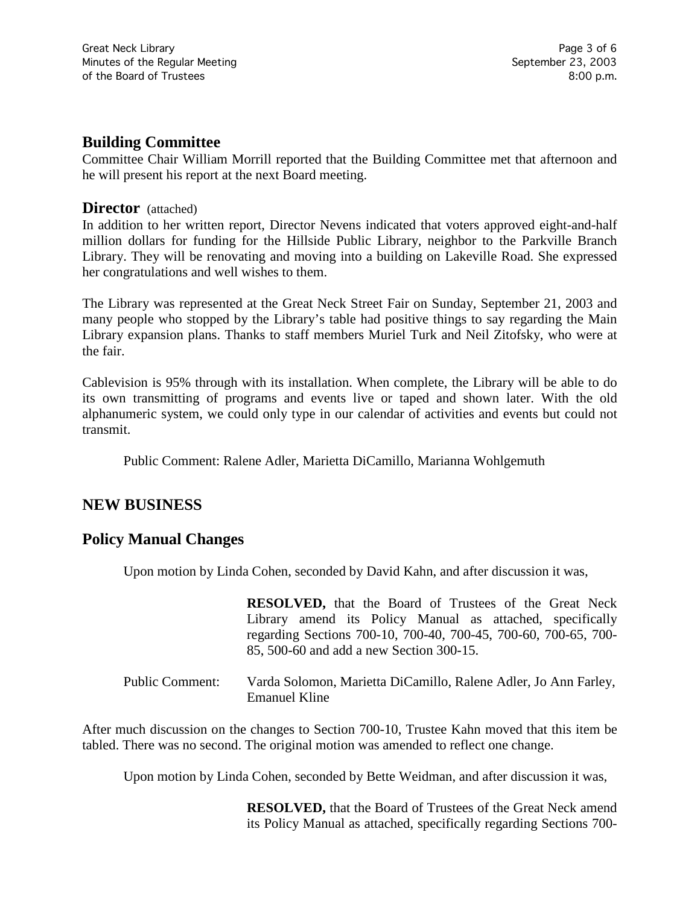### **Building Committee**

Committee Chair William Morrill reported that the Building Committee met that afternoon and he will present his report at the next Board meeting.

#### **Director** (attached)

In addition to her written report, Director Nevens indicated that voters approved eight-and-half million dollars for funding for the Hillside Public Library, neighbor to the Parkville Branch Library. They will be renovating and moving into a building on Lakeville Road. She expressed her congratulations and well wishes to them.

The Library was represented at the Great Neck Street Fair on Sunday, September 21, 2003 and many people who stopped by the Library's table had positive things to say regarding the Main Library expansion plans. Thanks to staff members Muriel Turk and Neil Zitofsky, who were at the fair.

Cablevision is 95% through with its installation. When complete, the Library will be able to do its own transmitting of programs and events live or taped and shown later. With the old alphanumeric system, we could only type in our calendar of activities and events but could not transmit.

Public Comment: Ralene Adler, Marietta DiCamillo, Marianna Wohlgemuth

# **NEW BUSINESS**

## **Policy Manual Changes**

Upon motion by Linda Cohen, seconded by David Kahn, and after discussion it was,

|                 | <b>RESOLVED</b> , that the Board of Trustees of the Great Neck  |
|-----------------|-----------------------------------------------------------------|
|                 | Library amend its Policy Manual as attached, specifically       |
|                 | regarding Sections 700-10, 700-40, 700-45, 700-60, 700-65, 700- |
|                 | 85, 500-60 and add a new Section 300-15.                        |
|                 |                                                                 |
| Public Comment: | Varda Solomon, Marietta DiCamillo, Ralene Adler, Jo Ann Farley, |

After much discussion on the changes to Section 700-10, Trustee Kahn moved that this item be tabled. There was no second. The original motion was amended to reflect one change.

Emanuel Kline

Upon motion by Linda Cohen, seconded by Bette Weidman, and after discussion it was,

**RESOLVED,** that the Board of Trustees of the Great Neck amend its Policy Manual as attached, specifically regarding Sections 700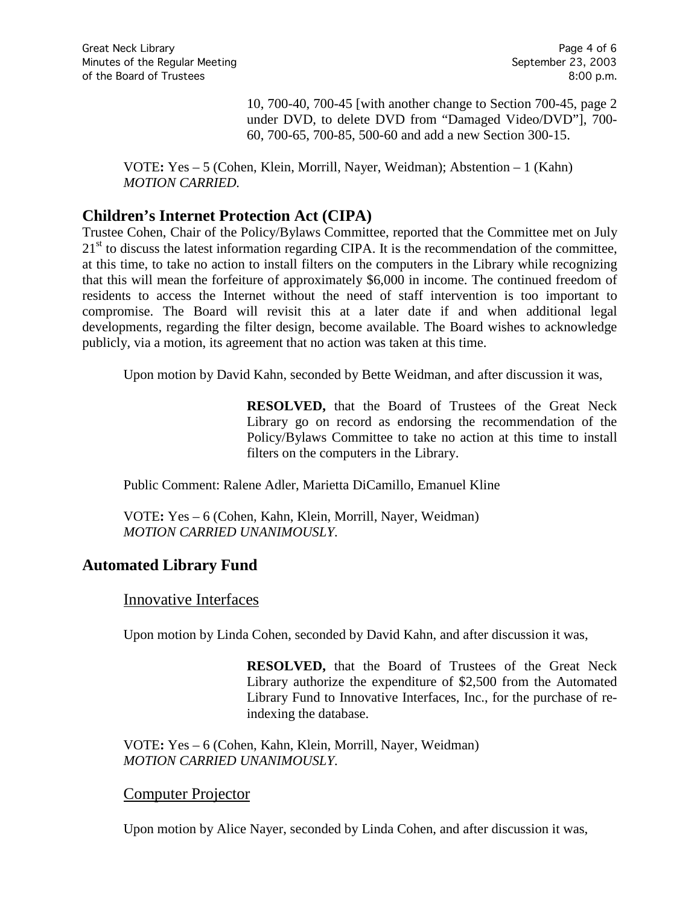10, 700-40, 700-45 [with another change to Section 700-45, page 2 under DVD, to delete DVD from "Damaged Video/DVD"], 700- 60, 700-65, 700-85, 500-60 and add a new Section 300-15.

VOTE**:** Yes – 5 (Cohen, Klein, Morrill, Nayer, Weidman); Abstention – 1 (Kahn) *MOTION CARRIED.*

# **Children's Internet Protection Act (CIPA)**

Trustee Cohen, Chair of the Policy/Bylaws Committee, reported that the Committee met on July  $21<sup>st</sup>$  to discuss the latest information regarding CIPA. It is the recommendation of the committee, at this time, to take no action to install filters on the computers in the Library while recognizing that this will mean the forfeiture of approximately \$6,000 in income. The continued freedom of residents to access the Internet without the need of staff intervention is too important to compromise. The Board will revisit this at a later date if and when additional legal developments, regarding the filter design, become available. The Board wishes to acknowledge publicly, via a motion, its agreement that no action was taken at this time.

Upon motion by David Kahn, seconded by Bette Weidman, and after discussion it was,

**RESOLVED,** that the Board of Trustees of the Great Neck Library go on record as endorsing the recommendation of the Policy/Bylaws Committee to take no action at this time to install filters on the computers in the Library.

Public Comment: Ralene Adler, Marietta DiCamillo, Emanuel Kline

VOTE**:** Yes – 6 (Cohen, Kahn, Klein, Morrill, Nayer, Weidman) *MOTION CARRIED UNANIMOUSLY.*

## **Automated Library Fund**

## Innovative Interfaces

Upon motion by Linda Cohen, seconded by David Kahn, and after discussion it was,

**RESOLVED,** that the Board of Trustees of the Great Neck Library authorize the expenditure of \$2,500 from the Automated Library Fund to Innovative Interfaces, Inc., for the purchase of reindexing the database.

VOTE**:** Yes – 6 (Cohen, Kahn, Klein, Morrill, Nayer, Weidman) *MOTION CARRIED UNANIMOUSLY.*

#### Computer Projector

Upon motion by Alice Nayer, seconded by Linda Cohen, and after discussion it was,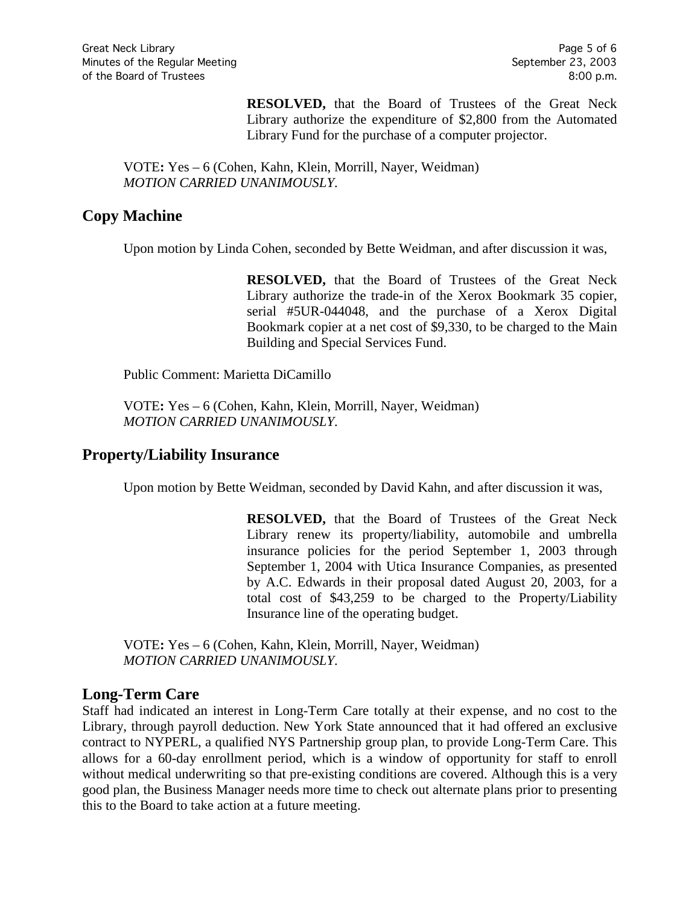**RESOLVED,** that the Board of Trustees of the Great Neck Library authorize the expenditure of \$2,800 from the Automated Library Fund for the purchase of a computer projector.

VOTE**:** Yes – 6 (Cohen, Kahn, Klein, Morrill, Nayer, Weidman) *MOTION CARRIED UNANIMOUSLY.*

# **Copy Machine**

Upon motion by Linda Cohen, seconded by Bette Weidman, and after discussion it was,

**RESOLVED,** that the Board of Trustees of the Great Neck Library authorize the trade-in of the Xerox Bookmark 35 copier, serial #5UR-044048, and the purchase of a Xerox Digital Bookmark copier at a net cost of \$9,330, to be charged to the Main Building and Special Services Fund.

Public Comment: Marietta DiCamillo

VOTE**:** Yes – 6 (Cohen, Kahn, Klein, Morrill, Nayer, Weidman) *MOTION CARRIED UNANIMOUSLY.*

## **Property/Liability Insurance**

Upon motion by Bette Weidman, seconded by David Kahn, and after discussion it was,

**RESOLVED,** that the Board of Trustees of the Great Neck Library renew its property/liability, automobile and umbrella insurance policies for the period September 1, 2003 through September 1, 2004 with Utica Insurance Companies, as presented by A.C. Edwards in their proposal dated August 20, 2003, for a total cost of \$43,259 to be charged to the Property/Liability Insurance line of the operating budget.

VOTE**:** Yes – 6 (Cohen, Kahn, Klein, Morrill, Nayer, Weidman) *MOTION CARRIED UNANIMOUSLY.*

## **Long-Term Care**

Staff had indicated an interest in Long-Term Care totally at their expense, and no cost to the Library, through payroll deduction. New York State announced that it had offered an exclusive contract to NYPERL, a qualified NYS Partnership group plan, to provide Long-Term Care. This allows for a 60-day enrollment period, which is a window of opportunity for staff to enroll without medical underwriting so that pre-existing conditions are covered. Although this is a very good plan, the Business Manager needs more time to check out alternate plans prior to presenting this to the Board to take action at a future meeting.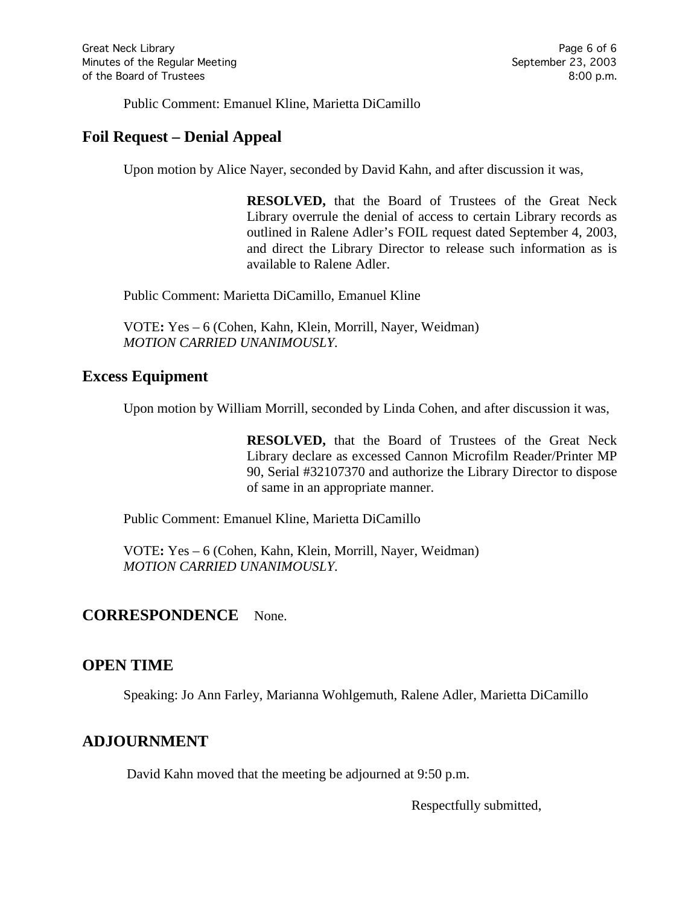Public Comment: Emanuel Kline, Marietta DiCamillo

# **Foil Request – Denial Appeal**

Upon motion by Alice Nayer, seconded by David Kahn, and after discussion it was,

**RESOLVED,** that the Board of Trustees of the Great Neck Library overrule the denial of access to certain Library records as outlined in Ralene Adler's FOIL request dated September 4, 2003, and direct the Library Director to release such information as is available to Ralene Adler.

Public Comment: Marietta DiCamillo, Emanuel Kline

VOTE**:** Yes – 6 (Cohen, Kahn, Klein, Morrill, Nayer, Weidman) *MOTION CARRIED UNANIMOUSLY.*

### **Excess Equipment**

Upon motion by William Morrill, seconded by Linda Cohen, and after discussion it was,

**RESOLVED,** that the Board of Trustees of the Great Neck Library declare as excessed Cannon Microfilm Reader/Printer MP 90, Serial #32107370 and authorize the Library Director to dispose of same in an appropriate manner.

Public Comment: Emanuel Kline, Marietta DiCamillo

VOTE**:** Yes – 6 (Cohen, Kahn, Klein, Morrill, Nayer, Weidman) *MOTION CARRIED UNANIMOUSLY.*

#### **CORRESPONDENCE** None.

## **OPEN TIME**

Speaking: Jo Ann Farley, Marianna Wohlgemuth, Ralene Adler, Marietta DiCamillo

## **ADJOURNMENT**

David Kahn moved that the meeting be adjourned at 9:50 p.m.

Respectfully submitted,